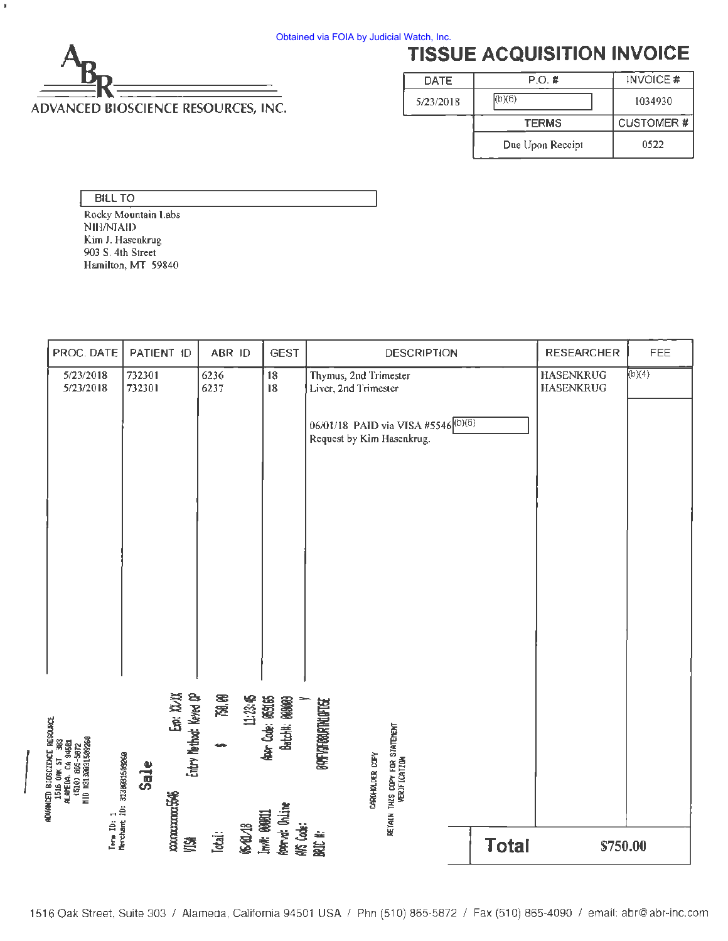

# **TISSUE ACQUISITION INVOICE**

| DATE.     | P.O. #           | INVOICE #        |  |
|-----------|------------------|------------------|--|
| 5/23/2018 | (b)(6)           | 1034930          |  |
|           | <b>TERMS</b>     | <b>CUSTOMER#</b> |  |
|           | Due Upon Reccipt | 0522             |  |

BILL TO

 $\mathfrak{g}$ 

Rocky Mountain Labs NIH/NIAID Kim J. Hasenkrug 903 S. 4th Street Hamilton, MT 59840

| PROC. DATE                                                                                                  |                                          | PATIENT ID                          | ABR ID       |               | <b>GEST</b>                         |                                               | <b>DESCRIPTION</b>                             |              | <b>RESEARCHER</b>                    | FEE    |
|-------------------------------------------------------------------------------------------------------------|------------------------------------------|-------------------------------------|--------------|---------------|-------------------------------------|-----------------------------------------------|------------------------------------------------|--------------|--------------------------------------|--------|
| 5/23/2018<br>5/23/2018                                                                                      | 732301<br>732301                         |                                     | 6236<br>6237 |               | 18<br>18                            | Thymus, 2nd Trimester<br>Liver, 2nd Trimester |                                                |              | <b>HASENKRUG</b><br><b>HASENKRUG</b> | (b)(4) |
|                                                                                                             |                                          |                                     |              |               |                                     | Request by Kim Hasenkrug.                     | 06/01/18 PAID via VISA #5546 (b)(6)            |              |                                      |        |
|                                                                                                             |                                          |                                     |              |               |                                     |                                               |                                                |              |                                      |        |
|                                                                                                             |                                          |                                     |              |               |                                     |                                               |                                                |              |                                      |        |
|                                                                                                             |                                          |                                     |              |               |                                     |                                               |                                                |              |                                      |        |
|                                                                                                             |                                          |                                     | 750.00       |               |                                     |                                               |                                                |              |                                      |        |
| ADVANCED BIOSCIENCE RESOURCE<br>1516 OAK ST 303<br>ALAMEDA, CA 94501<br>1500 BG-5672<br>11D B31300315626260 | Sale                                     | Entry Method: Keyed OP<br>Exp: XVXX |              | 1:2345        | har Code: 050165<br>Batchit: 000009 | <b>GAYFIVERBURITALISE</b><br>CARINHOLDER COPY | retain this copy for statement<br>Verification |              |                                      |        |
|                                                                                                             | Term ID: 1<br>Merchant ID: 3130031509260 | <b>manaanakkult</b>                 |              | Inv#: 000011  | Apprivet: Online                    |                                               |                                                |              |                                      |        |
|                                                                                                             |                                          | 鸥                                   | Total:       | <b>664018</b> | KK Code:                            | BAIC #:                                       |                                                | <b>Total</b> | \$750.00                             |        |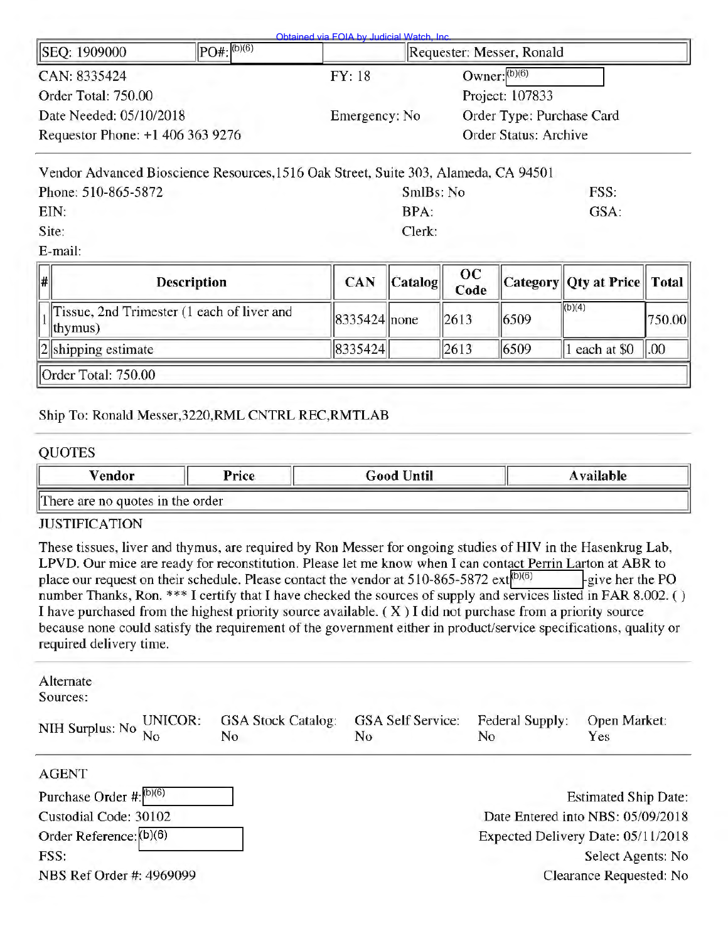| Owner: $(b)(6)$<br>CAN: 8335424<br>FY: 18<br>Order Total: 750.00<br>Project: 107833<br>Date Needed: 05/10/2018<br>Order Type: Purchase Card<br>Emergency: No<br>Requestor Phone: +1 406 363 9276<br>Order Status: Archive | SEQ: 1909000 | $PO#$ : (b)(6) | Requester: Messer, Ronald |  |  |
|---------------------------------------------------------------------------------------------------------------------------------------------------------------------------------------------------------------------------|--------------|----------------|---------------------------|--|--|
|                                                                                                                                                                                                                           |              |                |                           |  |  |
|                                                                                                                                                                                                                           |              |                |                           |  |  |
|                                                                                                                                                                                                                           |              |                |                           |  |  |
|                                                                                                                                                                                                                           |              |                |                           |  |  |

| Vendor Advanced Bioscience Resources, 1516 Oak Street, Suite 303, Alameda, CA 94501 |      |
|-------------------------------------------------------------------------------------|------|
| SmlBs: No                                                                           | FSS. |
| RPA                                                                                 | GSA: |
| Clerk:                                                                              |      |
|                                                                                     |      |

E-mail:

| # | <b>Description</b>                                           | <b>CAN</b>   | $\ $ Catalog $\ $ | $_{\rm oc}$<br>Code |      | Category Qty at Price Total |                |
|---|--------------------------------------------------------------|--------------|-------------------|---------------------|------|-----------------------------|----------------|
|   | Tissue, 2nd Trimester (1 each of liver and<br>$ $ thymus $ $ | 8335424 none |                   | 2613                | 6509 | (b)(4)                      | 750.00         |
|   | $  2  $ shipping estimate                                    | 8335424      |                   | 2613                | 6509 | each at \$0                 | $\parallel 00$ |
|   | <b>Order Total: 750.00</b>                                   |              |                   |                     |      |                             |                |

#### Ship To: Ronald Messer,3220,RML CNTRL REC,RMTLAB

#### QUOTES

| $v_{\text{endor}}$               | Price | Good Until | Available |  |  |  |  |
|----------------------------------|-------|------------|-----------|--|--|--|--|
| There are no quotes in the order |       |            |           |  |  |  |  |

#### JUSTIFICATION

These tissues, liver and thymus, are required by Ron Messer for ongoing studies of HIV in the Hasenkrug Lab, LPVD. Our mice are ready for reconstitution. Please let me know when I can contact Perrin Larton at ABR to place our request on their schedule. Please contact the vendor at 510-865-5872 ext $\frac{1}{10}(6)$  exterption extends the PO number Thanks, Ron. \*\*\* I certify that I have checked the sources of supply and services listed in FAR 8.002. () I have purchased from the highest priority source available. ( X) I did not purchase from a priority source because none could satisfy the requirement of the government either in product/service specifications, quality or required delivery time.

| Alternate<br>Sources:            |                                  |                                |                              |                                    |
|----------------------------------|----------------------------------|--------------------------------|------------------------------|------------------------------------|
| UNICOR:<br>NIH Surplus: No<br>No | <b>GSA Stock Catalog:</b><br>No. | <b>GSA Self Service:</b><br>No | <b>Federal Supply:</b><br>No | Open Market:<br>Yes                |
| <b>AGENT</b>                     |                                  |                                |                              |                                    |
| Purchase Order #: (b)(6)         |                                  |                                |                              | <b>Estimated Ship Date:</b>        |
| Custodial Code: 30102            |                                  |                                |                              | Date Entered into NBS: 05/09/2018  |
| Order Reference: (b)(6)          |                                  |                                |                              | Expected Delivery Date: 05/11/2018 |
| FSS:                             |                                  |                                |                              | Select Agents: No                  |
| NBS Ref Order #: 4969099         |                                  |                                |                              | Clearance Requested: No            |